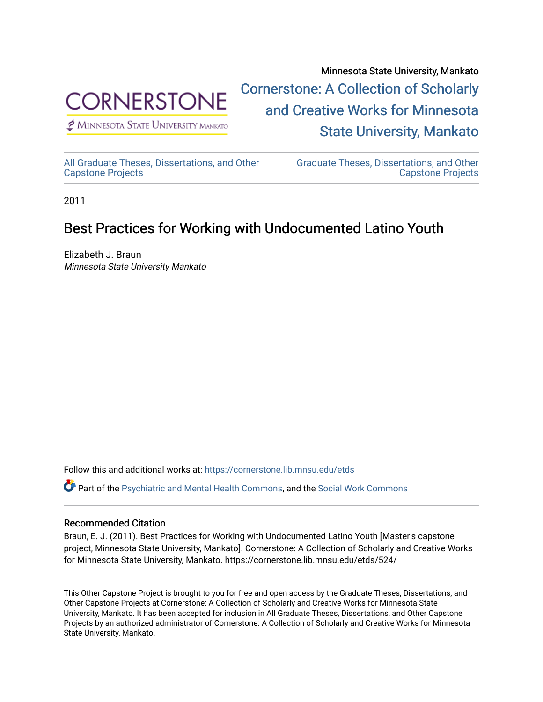

 $<sup>2</sup>$  Minnesota State University Mankato</sup>

Minnesota State University, Mankato [Cornerstone: A Collection of Scholarly](https://cornerstone.lib.mnsu.edu/)  [and Creative Works for Minnesota](https://cornerstone.lib.mnsu.edu/)  [State University, Mankato](https://cornerstone.lib.mnsu.edu/) 

[All Graduate Theses, Dissertations, and Other](https://cornerstone.lib.mnsu.edu/etds)  [Capstone Projects](https://cornerstone.lib.mnsu.edu/etds) 

[Graduate Theses, Dissertations, and Other](https://cornerstone.lib.mnsu.edu/theses_dissertations-capstone)  [Capstone Projects](https://cornerstone.lib.mnsu.edu/theses_dissertations-capstone) 

2011

#### Best Practices for Working with Undocumented Latino Youth

Elizabeth J. Braun Minnesota State University Mankato

Follow this and additional works at: [https://cornerstone.lib.mnsu.edu/etds](https://cornerstone.lib.mnsu.edu/etds?utm_source=cornerstone.lib.mnsu.edu%2Fetds%2F524&utm_medium=PDF&utm_campaign=PDFCoverPages) 

Part of the [Psychiatric and Mental Health Commons,](http://network.bepress.com/hgg/discipline/711?utm_source=cornerstone.lib.mnsu.edu%2Fetds%2F524&utm_medium=PDF&utm_campaign=PDFCoverPages) and the [Social Work Commons](http://network.bepress.com/hgg/discipline/713?utm_source=cornerstone.lib.mnsu.edu%2Fetds%2F524&utm_medium=PDF&utm_campaign=PDFCoverPages) 

#### Recommended Citation

Braun, E. J. (2011). Best Practices for Working with Undocumented Latino Youth [Master's capstone project, Minnesota State University, Mankato]. Cornerstone: A Collection of Scholarly and Creative Works for Minnesota State University, Mankato. https://cornerstone.lib.mnsu.edu/etds/524/

This Other Capstone Project is brought to you for free and open access by the Graduate Theses, Dissertations, and Other Capstone Projects at Cornerstone: A Collection of Scholarly and Creative Works for Minnesota State University, Mankato. It has been accepted for inclusion in All Graduate Theses, Dissertations, and Other Capstone Projects by an authorized administrator of Cornerstone: A Collection of Scholarly and Creative Works for Minnesota State University, Mankato.